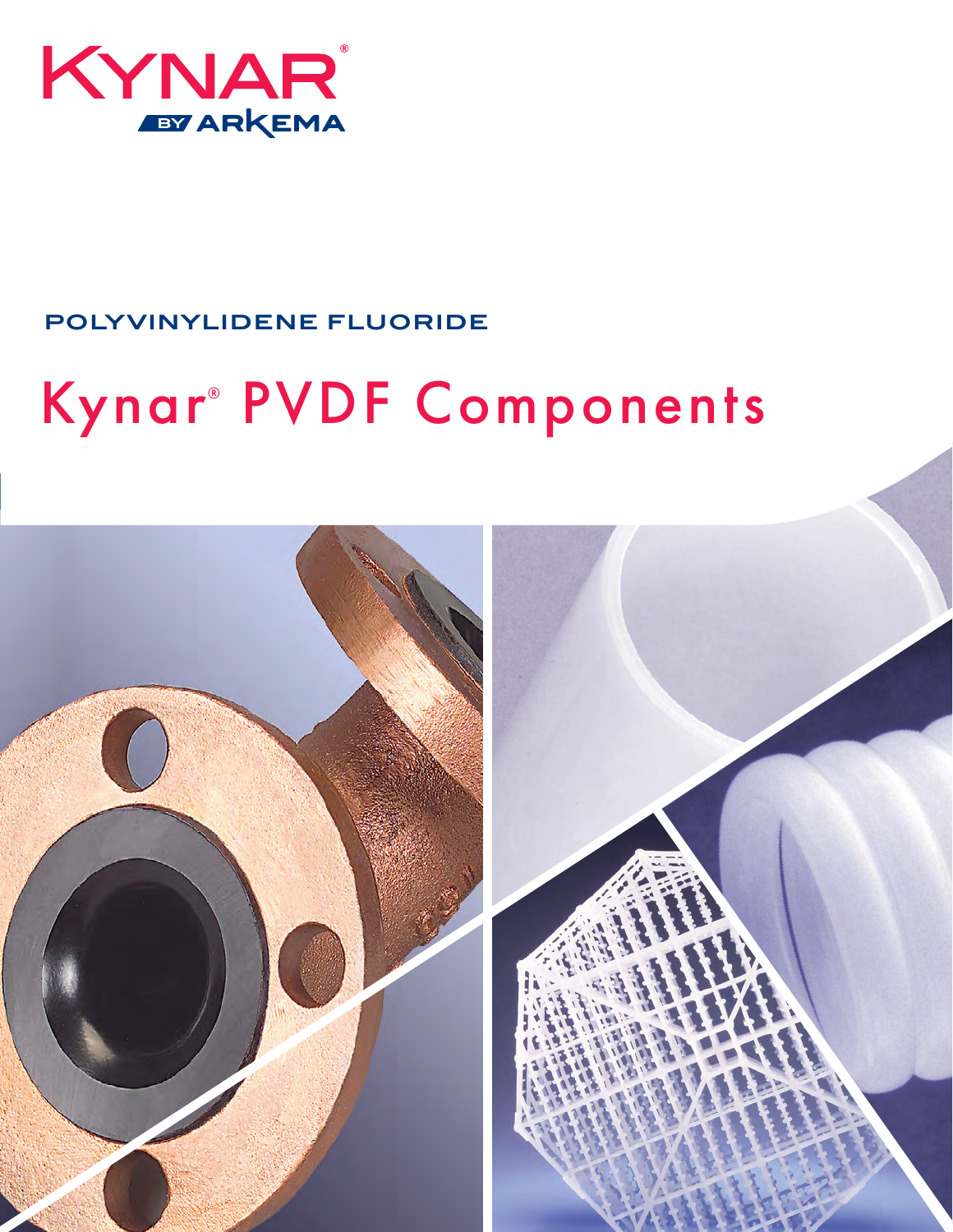

# **POLYVINYLIDENE FLUORIDE**

# Kynar<sup>®</sup> PVDF Components

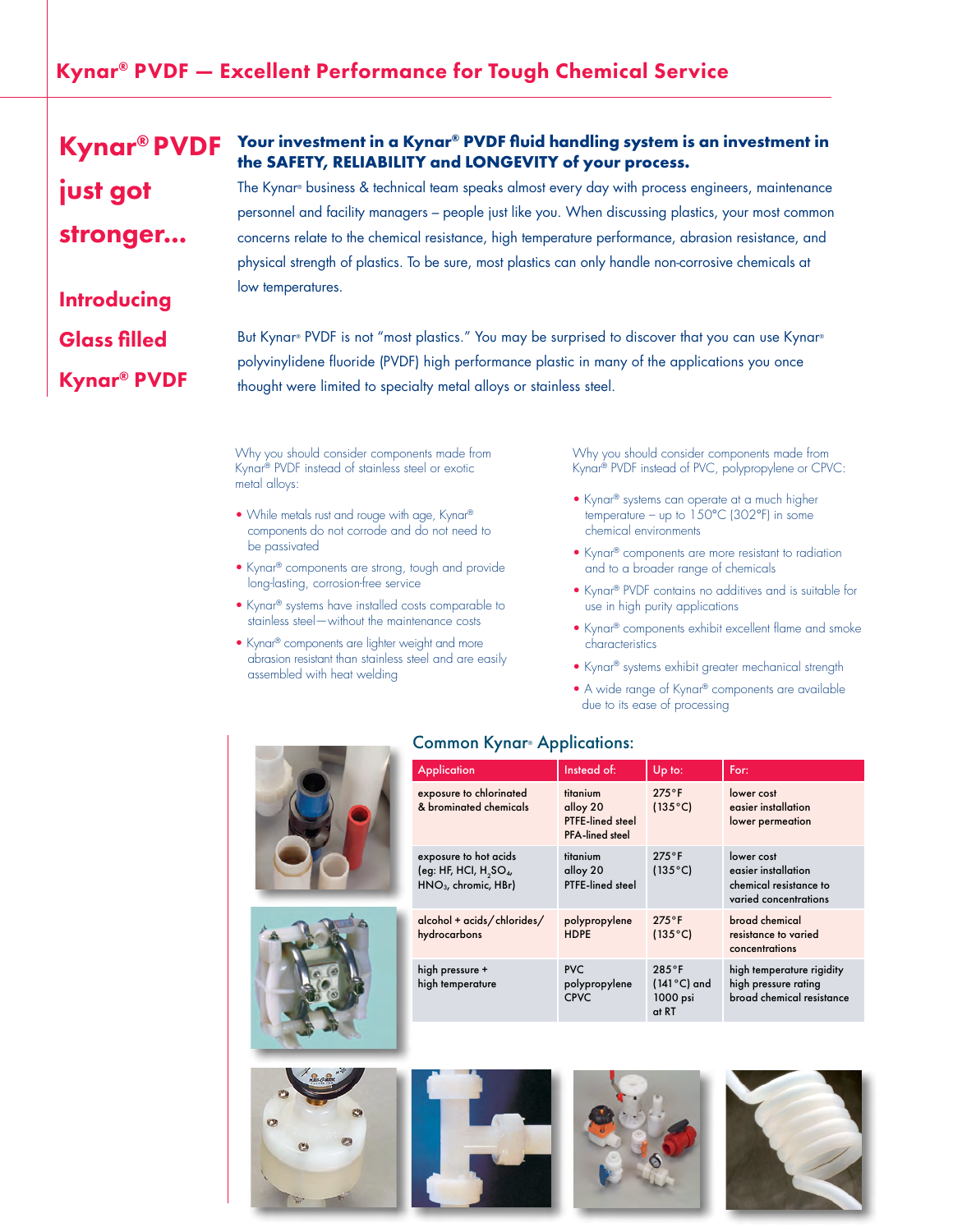## Kynar® PVDF — Excellent Performance for Tough Chemical Service

#### **Your investment in a Kynar® PVDF fluid handling system is an investment in the SAFETY, RELIABILITY and LONGEVITY of your process.** The Kynar® business & technical team speaks almost every day with process engineers, maintenance Kynar® PVDF just got

personnel and facility managers – people just like you. When discussing plastics, your most common concerns relate to the chemical resistance, high temperature performance, abrasion resistance, and physical strength of plastics. To be sure, most plastics can only handle non-corrosive chemicals at low temperatures.

But Kynar® PVDF is not "most plastics." You may be surprised to discover that you can use Kynar® polyvinylidene fluoride (PVDF) high performance plastic in many of the applications you once thought were limited to specialty metal alloys or stainless steel.

Why you should consider components made from Kynar® PVDF instead of stainless steel or exotic metal alloys:

stronger...

**Introducing** 

Glass filled

Kynar® PVDF

- While metals rust and rouge with age, Kynar® components do not corrode and do not need to be passivated
- Kynar® components are strong, tough and provide long-lasting, corrosion-free service
- Kynar® systems have installed costs comparable to stainless steel—without the maintenance costs
- Kynar® components are lighter weight and more abrasion resistant than stainless steel and are easily assembled with heat welding

Why you should consider components made from Kynar® PVDF instead of PVC, polypropylene or CPVC:

- Kynar® systems can operate at a much higher temperature – up to  $150^{\circ}$ C (302°F) in some chemical environments
- Kynar® components are more resistant to radiation and to a broader range of chemicals
- Kynar® PVDF contains no additives and is suitable for use in high purity applications
- Kynar® components exhibit excellent flame and smoke characteristics
- Kynar® systems exhibit greater mechanical strength
- A wide range of Kynar® components are available due to its ease of processing







## Common Kynar® Applications:

|  | <b>Application</b>                                                                     | Instead of:                                                        | Up to:                                                       | For:                                                                                 |
|--|----------------------------------------------------------------------------------------|--------------------------------------------------------------------|--------------------------------------------------------------|--------------------------------------------------------------------------------------|
|  | exposure to chlorinated<br>& brominated chemicals                                      | titanium<br>alloy 20<br>PTFE-lined steel<br><b>PFA-lined steel</b> | $275^{\circ}$ F<br>$(135^{\circ}C)$                          | lower cost<br>easier installation<br>lower permeation                                |
|  | exposure to hot acids<br>(eg: HF, HCI, $H_2SO_4$ ,<br>HNO <sub>3</sub> , chromic, HBr) | titanium<br>alloy 20<br>PTFE-lined steel                           | $275^{\circ}$ F<br>$(135^{\circ}C)$                          | lower cost<br>easier installation<br>chemical resistance to<br>varied concentrations |
|  | alcohol + acids/chlorides/<br>hydrocarbons                                             | polypropylene<br><b>HDPE</b>                                       | $275^{\circ}$ F<br>$(135^{\circ}C)$                          | broad chemical<br>resistance to varied<br>concentrations                             |
|  | high pressure +<br>high temperature                                                    | <b>PVC</b><br>polypropylene<br><b>CPVC</b>                         | $285^{\circ}$ F<br>$(141^{\circ}C)$ and<br>1000 psi<br>at RT | high temperature rigidity<br>high pressure rating<br>broad chemical resistance       |





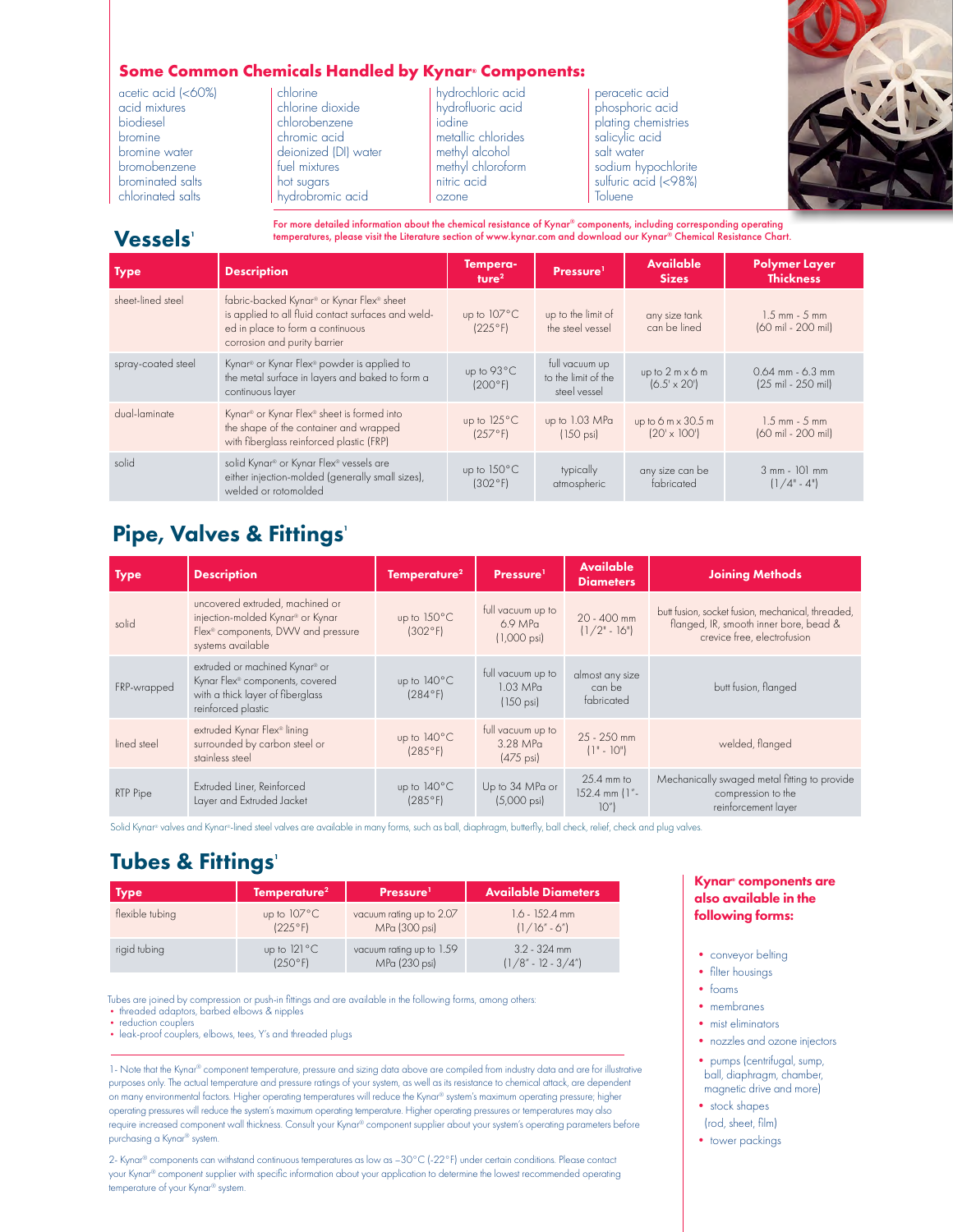## **Some Common Chemicals Handled by Kynar® Components:**

acetic acid (<60%) acid mixtures biodiesel bromine bromine water bromobenzene brominated salts chlorinated salts

chlorine chlorine dioxide chlorobenzene chromic acid deionized (DI) water fuel mixtures hot sugars hydrobromic acid

hydrochloric acid hydrofluoric acid iodine metallic chlorides methyl alcohol methyl chloroform nitric acid ozone

peracetic acid phosphoric acid plating chemistries salicylic acid salt water sodium hypochlorite sulfuric acid (<98%) **Toluene** 



## Vessels<sup>1</sup>

For more detailed information about the chemical resistance of Kynar® components, including corresponding operating temperatures, please visit the Literature section of www.kynar.com and download our Kynar® Chemical Resistance Chart.

| <b>Type</b>        | <b>Description</b>                                                                                                                                                              | Tempera-<br>ture <sup>2</sup>    | Pressure <sup>1</sup>                                 | <b>Available</b><br><b>Sizes</b>                 | <b>Polymer Layer</b><br><b>Thickness</b>   |
|--------------------|---------------------------------------------------------------------------------------------------------------------------------------------------------------------------------|----------------------------------|-------------------------------------------------------|--------------------------------------------------|--------------------------------------------|
| sheet-lined steel  | fabric-backed Kynar <sup>®</sup> or Kynar Flex® sheet<br>is applied to all fluid contact surfaces and weld-<br>ed in place to form a continuous<br>corrosion and purity barrier | up to $107^{\circ}$ C<br>(225°F) | up to the limit of<br>the steel vessel                | any size tank<br>can be lined                    | $1.5$ mm $-5$ mm<br>(60 mil - 200 mil)     |
| spray-coated steel | Kynar <sup>®</sup> or Kynar Flex® powder is applied to<br>the metal surface in layers and baked to form a<br>continuous layer                                                   | up to 93°C<br>(200°F)            | full vacuum up<br>to the limit of the<br>steel vessel | up to $2 m \times 6 m$<br>$(6.5' \times 20')$    | $0.64$ mm - $6.3$ mm<br>(25 mil - 250 mil) |
| dual-laminate      | Kynar <sup>®</sup> or Kynar Flex® sheet is formed into<br>the shape of the container and wrapped<br>with fiberglass reinforced plastic (FRP)                                    | up to 125°C<br>(257°F)           | up to 1.03 MPa<br>$(150 \text{ psi})$                 | up to 6 $m \times 30.5$ m<br>$(20' \times 100')$ | $1.5$ mm $-5$ mm<br>(60 mil - 200 mil)     |
| solid              | solid Kynar <sup>®</sup> or Kynar Flex® vessels are<br>either injection-molded (generally small sizes),<br>welded or rotomolded                                                 | up to $150^{\circ}$ C<br>(302°F) | typically<br>atmospheric                              | any size can be<br>fabricated                    | $3$ mm - $101$ mm<br>$(1/4" - 4")$         |

## Pipe, Valves & Fittings'

| Type        | <b>Description</b>                                                                                                                         | Temperature <sup>2</sup> | Pressure <sup>1</sup>                                   | <b>Available</b><br><b>Diameters</b>    | <b>Joining Methods</b>                                                                                                     |
|-------------|--------------------------------------------------------------------------------------------------------------------------------------------|--------------------------|---------------------------------------------------------|-----------------------------------------|----------------------------------------------------------------------------------------------------------------------------|
| solid       | uncovered extruded, machined or<br>injection-molded Kynar® or Kynar<br>Flex <sup>®</sup> components, DWV and pressure<br>systems available | up to 150°C<br>(302°F)   | full vacuum up to<br>$6.9$ MPa<br>$(1,000 \text{ psi})$ | 20 - 400 mm<br>$(1/2" - 16")$           | butt fusion, socket fusion, mechanical, threaded,<br>flanged, IR, smooth inner bore, bead &<br>crevice free, electrofusion |
| FRP-wrapped | extruded or machined Kynar® or<br>Kynar Flex <sup>®</sup> components, covered<br>with a thick layer of fiberglass<br>reinforced plastic    | up to 140°C<br>(284°F)   | full vacuum up to<br>$1.03$ MPa<br>$(150 \text{ psi})$  | almost any size<br>can be<br>fabricated | butt fusion, flanged                                                                                                       |
| lined steel | extruded Kynar Flex® lining<br>surrounded by carbon steel or<br>stainless steel                                                            | up to 140°C<br>(285°F)   | full vacuum up to<br>3.28 MPa<br>$(475 \text{ psi})$    | $25 - 250$ mm<br>$(1" - 10")$           | welded, flanged                                                                                                            |
| RTP Pipe    | Extruded Liner, Reinforced<br>Layer and Extruded Jacket                                                                                    | up to 140°C<br>(285°F)   | Up to 34 MPa or<br>$(5,000 \text{ psi})$                | $25.4$ mm to<br>152.4 mm (1"-<br>10"    | Mechanically swaged metal fitting to provide<br>compression to the<br>reinforcement layer                                  |

Solid Kynar® valves and Kynar®-lined steel valves are available in many forms, such as ball, diaphragm, butterfly, ball check, relief, check and plug valves.

## **Tubes & Fittings'**

| Type            | Temperature <sup>2</sup> | Pressure <sup>1</sup>    | <b>Available Diameters</b> |
|-----------------|--------------------------|--------------------------|----------------------------|
| flexible tubing | up to $107^{\circ}$ C    | vacuum rating up to 2.07 | $1.6 - 152.4$ mm           |
|                 | (225°F)                  | MPa (300 psi)            | $(1/16" - 6")$             |
| rigid tubing    | up to $121^{\circ}$ C    | vacuum rating up to 1.59 | $3.2 - 324$ mm             |
|                 | (250°F)                  | MPa (230 psi)            | $(1/8" - 12 - 3/4")$       |

Tubes are joined by compression or push-in fittings and are available in the following forms, among others:

• threaded adaptors, barbed elbows & nipples

• reduction couplers

• leak-proof couplers, elbows, tees, Y's and threaded plugs

1- Note that the Kynar® component temperature, pressure and sizing data above are compiled from industry data and are for illustrative purposes only. The actual temperature and pressure ratings of your system, as well as its resistance to chemical attack, are dependent on many environmental factors. Higher operating temperatures will reduce the Kynar® system's maximum operating pressure; higher operating pressures will reduce the system's maximum operating temperature. Higher operating pressures or temperatures may also require increased component wall thickness. Consult your Kynar® component supplier about your system's operating parameters before purchasing a Kynar® system.

2- Kynar® components can withstand continuous temperatures as low as –30°C (-22°F) under certain conditions. Please contact your Kynar® component supplier with specific information about your application to determine the lowest recommended operating temperature of your Kynar® system.

#### Kynar® components are also available in the following forms:

- conveyor belting
- filter housings
- foams
- membranes
- mist eliminators
- nozzles and ozone injectors
- pumps (centrifugal, sump, ball, diaphragm, chamber, magnetic drive and more)
- stock shapes (rod, sheet, film)
- tower packings